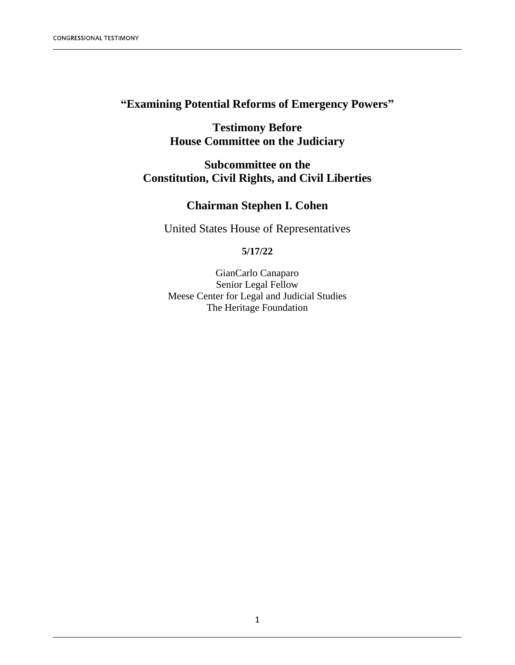# **"Examining Potential Reforms of Emergency Powers"**

**Testimony Before House Committee on the Judiciary**

## **Subcommittee on the Constitution, Civil Rights, and Civil Liberties**

## **Chairman Stephen I. Cohen**

United States House of Representatives

### **5/17/22**

GianCarlo Canaparo Senior Legal Fellow Meese Center for Legal and Judicial Studies The Heritage Foundation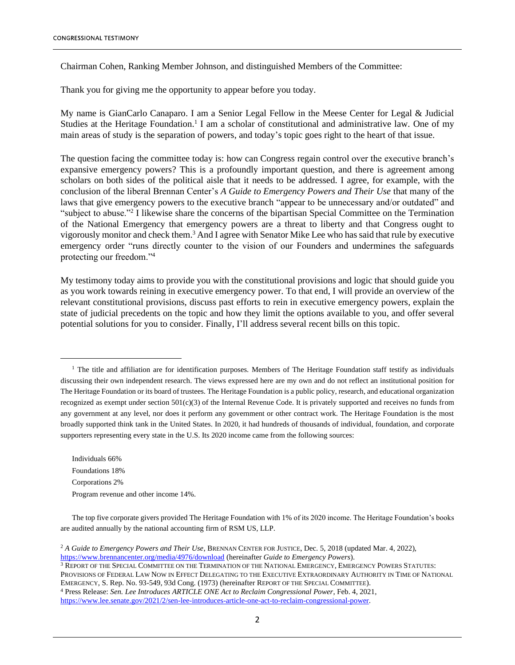Chairman Cohen, Ranking Member Johnson, and distinguished Members of the Committee:

Thank you for giving me the opportunity to appear before you today.

My name is GianCarlo Canaparo. I am a Senior Legal Fellow in the Meese Center for Legal & Judicial Studies at the Heritage Foundation.<sup>1</sup> I am a scholar of constitutional and administrative law. One of my main areas of study is the separation of powers, and today's topic goes right to the heart of that issue.

The question facing the committee today is: how can Congress regain control over the executive branch's expansive emergency powers? This is a profoundly important question, and there is agreement among scholars on both sides of the political aisle that it needs to be addressed. I agree, for example, with the conclusion of the liberal Brennan Center's *A Guide to Emergency Powers and Their Use* that many of the laws that give emergency powers to the executive branch "appear to be unnecessary and/or outdated" and "subject to abuse."<sup>2</sup> I likewise share the concerns of the bipartisan Special Committee on the Termination of the National Emergency that emergency powers are a threat to liberty and that Congress ought to vigorously monitor and check them. <sup>3</sup> And I agree with Senator Mike Lee who has said that rule by executive emergency order "runs directly counter to the vision of our Founders and undermines the safeguards protecting our freedom."<sup>4</sup>

My testimony today aims to provide you with the constitutional provisions and logic that should guide you as you work towards reining in executive emergency power. To that end, I will provide an overview of the relevant constitutional provisions, discuss past efforts to rein in executive emergency powers, explain the state of judicial precedents on the topic and how they limit the options available to you, and offer several potential solutions for you to consider. Finally, I'll address several recent bills on this topic.

Individuals 66% Foundations 18% Corporations 2% Program revenue and other income 14%.

<sup>3</sup> REPORT OF THE SPECIAL COMMITTEE ON THE TERMINATION OF THE NATIONAL EMERGENCY, EMERGENCY POWERS STATUTES: PROVISIONS OF FEDERAL LAW NOW IN EFFECT DELEGATING TO THE EXECUTIVE EXTRAORDINARY AUTHORITY IN TIME OF NATIONAL EMERGENCY, S. Rep. No. 93-549, 93d Cong. (1973) (hereinafter REPORT OF THE SPECIAL COMMITTEE). <sup>4</sup> Press Release: *Sen. Lee Introduces ARTICLE ONE Act to Reclaim Congressional Power*, Feb. 4, 2021, [https://www.lee.senate.gov/2021/2/sen-lee-introduces-article-one-act-to-reclaim-congressional-power.](https://www.lee.senate.gov/2021/2/sen-lee-introduces-article-one-act-to-reclaim-congressional-power) 

<sup>&</sup>lt;sup>1</sup> The title and affiliation are for identification purposes. Members of The Heritage Foundation staff testify as individuals discussing their own independent research. The views expressed here are my own and do not reflect an institutional position for The Heritage Foundation or its board of trustees. The Heritage Foundation is a public policy, research, and educational organization recognized as exempt under section 501(c)(3) of the Internal Revenue Code. It is privately supported and receives no funds from any government at any level, nor does it perform any government or other contract work. The Heritage Foundation is the most broadly supported think tank in the United States. In 2020, it had hundreds of thousands of individual, foundation, and corporate supporters representing every state in the U.S. Its 2020 income came from the following sources:

The top five corporate givers provided The Heritage Foundation with 1% of its 2020 income. The Heritage Foundation's books are audited annually by the national accounting firm of RSM US, LLP.

<sup>2</sup> *A Guide to Emergency Powers and Their Use*, BRENNAN CENTER FOR JUSTICE, Dec. 5, 2018 (updated Mar. 4, 2022), <https://www.brennancenter.org/media/4976/download> (hereinafter *Guide to Emergency Powers*).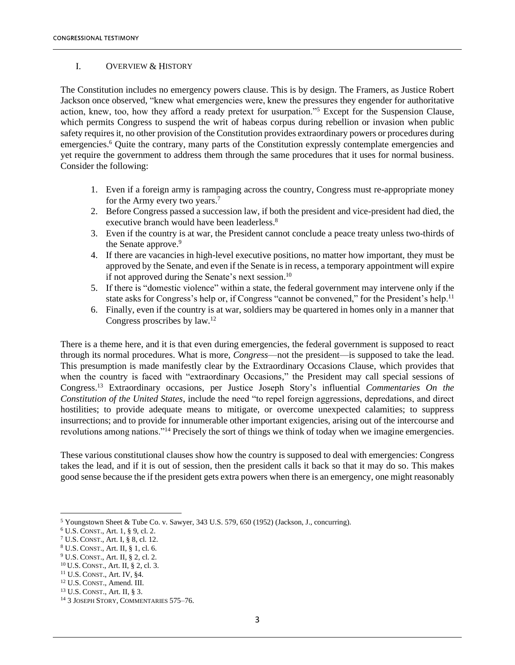#### I. OVERVIEW & HISTORY

The Constitution includes no emergency powers clause. This is by design. The Framers, as Justice Robert Jackson once observed, "knew what emergencies were, knew the pressures they engender for authoritative action, knew, too, how they afford a ready pretext for usurpation."<sup>5</sup> Except for the Suspension Clause, which permits Congress to suspend the writ of habeas corpus during rebellion or invasion when public safety requires it, no other provision of the Constitution provides extraordinary powers or procedures during emergencies.<sup>6</sup> Quite the contrary, many parts of the Constitution expressly contemplate emergencies and yet require the government to address them through the same procedures that it uses for normal business. Consider the following:

- 1. Even if a foreign army is rampaging across the country, Congress must re-appropriate money for the Army every two years.<sup>7</sup>
- 2. Before Congress passed a succession law, if both the president and vice-president had died, the executive branch would have been leaderless.<sup>8</sup>
- 3. Even if the country is at war, the President cannot conclude a peace treaty unless two-thirds of the Senate approve.<sup>9</sup>
- 4. If there are vacancies in high-level executive positions, no matter how important, they must be approved by the Senate, and even if the Senate is in recess, a temporary appointment will expire if not approved during the Senate's next session.<sup>10</sup>
- 5. If there is "domestic violence" within a state, the federal government may intervene only if the state asks for Congress's help or, if Congress "cannot be convened," for the President's help.<sup>11</sup>
- 6. Finally, even if the country is at war, soldiers may be quartered in homes only in a manner that Congress proscribes by law.<sup>12</sup>

There is a theme here, and it is that even during emergencies, the federal government is supposed to react through its normal procedures. What is more, *Congress*—not the president—is supposed to take the lead. This presumption is made manifestly clear by the Extraordinary Occasions Clause, which provides that when the country is faced with "extraordinary Occasions," the President may call special sessions of Congress. <sup>13</sup> Extraordinary occasions, per Justice Joseph Story's influential *Commentaries On the Constitution of the United States*, include the need "to repel foreign aggressions, depredations, and direct hostilities; to provide adequate means to mitigate, or overcome unexpected calamities; to suppress insurrections; and to provide for innumerable other important exigencies, arising out of the intercourse and revolutions among nations."<sup>14</sup> Precisely the sort of things we think of today when we imagine emergencies.

These various constitutional clauses show how the country is supposed to deal with emergencies: Congress takes the lead, and if it is out of session, then the president calls it back so that it may do so. This makes good sense because the if the president gets extra powers when there is an emergency, one might reasonably

<sup>5</sup> Youngstown Sheet & Tube Co. v. Sawyer, 343 U.S. 579, 650 (1952) (Jackson, J., concurring).

 $6$  U.S. CONST., Art. 1, § 9, cl. 2.

<sup>7</sup> U.S. CONST., Art. I, § 8, cl. 12.

<sup>8</sup> U.S. CONST., Art. II, § 1, cl. 6.

<sup>9</sup> U.S. CONST., Art. II, § 2, cl. 2.

<sup>10</sup> U.S. CONST., Art. II, § 2, cl. 3.

<sup>11</sup> U.S. CONST., Art. IV, §4.

<sup>12</sup> U.S. CONST., Amend. III.

<sup>13</sup> U.S. CONST., Art. II, § 3.

<sup>14</sup> 3 JOSEPH STORY, COMMENTARIES 575–76.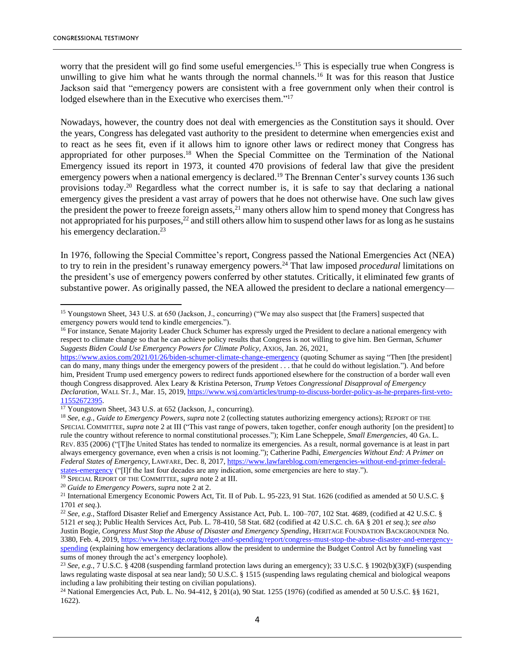worry that the president will go find some useful emergencies.<sup>15</sup> This is especially true when Congress is unwilling to give him what he wants through the normal channels.<sup>16</sup> It was for this reason that Justice Jackson said that "emergency powers are consistent with a free government only when their control is lodged elsewhere than in the Executive who exercises them."<sup>17</sup>

Nowadays, however, the country does not deal with emergencies as the Constitution says it should. Over the years, Congress has delegated vast authority to the president to determine when emergencies exist and to react as he sees fit, even if it allows him to ignore other laws or redirect money that Congress has appropriated for other purposes.<sup>18</sup> When the Special Committee on the Termination of the National Emergency issued its report in 1973, it counted 470 provisions of federal law that give the president emergency powers when a national emergency is declared.<sup>19</sup> The Brennan Center's survey counts 136 such provisions today.<sup>20</sup> Regardless what the correct number is, it is safe to say that declaring a national emergency gives the president a vast array of powers that he does not otherwise have. One such law gives the president the power to freeze foreign assets,  $2<sup>1</sup>$  many others allow him to spend money that Congress has not appropriated for his purposes,<sup>22</sup> and still others allow him to suspend other laws for as long as he sustains his emergency declaration.<sup>23</sup>

In 1976, following the Special Committee's report, Congress passed the National Emergencies Act (NEA) to try to rein in the president's runaway emergency powers.<sup>24</sup> That law imposed *procedural* limitations on the president's use of emergency powers conferred by other statutes. Critically, it eliminated few grants of substantive power. As originally passed, the NEA allowed the president to declare a national emergency—

<sup>15</sup> Youngstown Sheet, 343 U.S. at 650 (Jackson, J., concurring) ("We may also suspect that [the Framers] suspected that emergency powers would tend to kindle emergencies.").

<sup>&</sup>lt;sup>16</sup> For instance, Senate Majority Leader Chuck Schumer has expressly urged the President to declare a national emergency with respect to climate change so that he can achieve policy results that Congress is not willing to give him. Ben German, *Schumer Suggests Biden Could Use Emergency Powers for Climate Policy*, AXIOS, Jan. 26, 2021,

<https://www.axios.com/2021/01/26/biden-schumer-climate-change-emergency> (quoting Schumer as saying "Then [the president] can do many, many things under the emergency powers of the president . . . that he could do without legislation."). And before him, President Trump used emergency powers to redirect funds apportioned elsewhere for the construction of a border wall even though Congress disapproved. Alex Leary & Kristina Peterson, *Trump Vetoes Congressional Disapproval of Emergency Declaration*, WALL ST.J., Mar. 15, 2019, [https://www.wsj.com/articles/trump-to-discuss-border-policy-as-he-prepares-first-veto-](https://www.wsj.com/articles/trump-to-discuss-border-policy-as-he-prepares-first-veto-11552672395)[11552672395.](https://www.wsj.com/articles/trump-to-discuss-border-policy-as-he-prepares-first-veto-11552672395) 

<sup>17</sup> Youngstown Sheet, 343 U.S. at 652 (Jackson, J., concurring).

<sup>18</sup> *See, e.g.*, *Guide to Emergency Powers*, *supra* note 2 (collecting statutes authorizing emergency actions); REPORT OF THE SPECIAL COMMITTEE, *supra* note 2 at III ("This vast range of powers, taken together, confer enough authority [on the president] to rule the country without reference to normal constitutional processes."); Kim Lane Scheppele, *Small Emergencies*, 40 GA. L. REV. 835 (2006) ("[T]he United States has tended to normalize its emergencies. As a result, normal governance is at least in part always emergency governance, even when a crisis is not looming."); Catherine Padhi, *Emergencies Without End: A Primer on Federal States of Emergency*, LAWFARE, Dec. 8, 2017[, https://www.lawfareblog.com/emergencies-without-end-primer-federal](https://www.lawfareblog.com/emergencies-without-end-primer-federal-states-emergency)[states-emergency](https://www.lawfareblog.com/emergencies-without-end-primer-federal-states-emergency) ("[I]f the last four decades are any indication, some emergencies are here to stay."). <sup>19</sup> SPECIAL REPORT OF THE COMMITTEE, *supra* note 2 at III.

<sup>20</sup> *Guide to Emergency Powers*, *supra* note 2 at 2.

<sup>&</sup>lt;sup>21</sup> International Emergency Economic Powers Act, Tit. II of Pub. L. 95-223, 91 Stat. 1626 (codified as amended at 50 U.S.C. § 1701 *et seq*.).

<sup>&</sup>lt;sup>22</sup> See, e.g., Stafford Disaster Relief and Emergency Assistance Act, Pub. L. 100–707, 102 Stat. 4689, (codified at 42 U.S.C. § 5121 *et seq*.); Public Health Services Act, Pub. L. 78-410, 58 Stat. 682 (codified at 42 U.S.C. ch. 6A § 201 *et seq*.); *see also* Justin Bogie, *Congress Must Stop the Abuse of Disaster and Emergency Spending*, HERITAGE FOUNDATION BACKGROUNDER No. 3380, Feb. 4, 2019, [https://www.heritage.org/budget-and-spending/report/congress-must-stop-the-abuse-disaster-and-emergency](https://www.heritage.org/budget-and-spending/report/congress-must-stop-the-abuse-disaster-and-emergency-spending)[spending](https://www.heritage.org/budget-and-spending/report/congress-must-stop-the-abuse-disaster-and-emergency-spending) (explaining how emergency declarations allow the president to undermine the Budget Control Act by funneling vast sums of money through the act's emergency loophole).

<sup>23</sup> *See, e.g.*, 7 U.S.C. § 4208 (suspending farmland protection laws during an emergency); 33 U.S.C. § 1902(b)(3)(F) (suspending laws regulating waste disposal at sea near land); 50 U.S.C. § 1515 (suspending laws regulating chemical and biological weapons including a law prohibiting their testing on civilian populations).

<sup>&</sup>lt;sup>24</sup> National Emergencies Act, Pub. L. No. 94-412,  $\S$  201(a), 90 Stat. 1255 (1976) (codified as amended at 50 U.S.C.  $\S$ § 1621, 1622).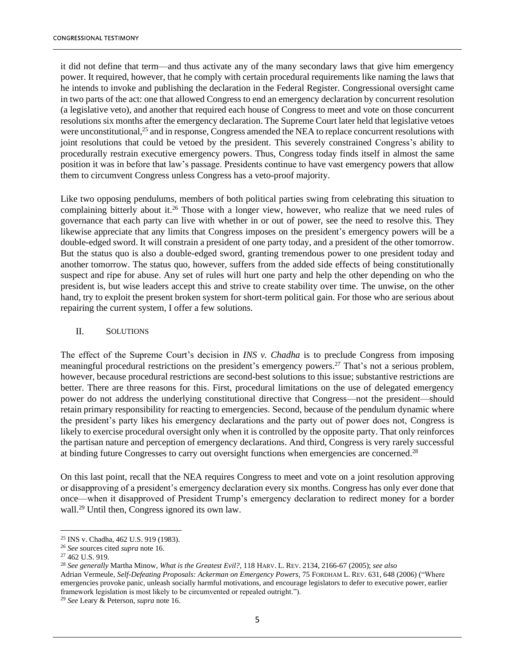it did not define that term—and thus activate any of the many secondary laws that give him emergency power. It required, however, that he comply with certain procedural requirements like naming the laws that he intends to invoke and publishing the declaration in the Federal Register. Congressional oversight came in two parts of the act: one that allowed Congress to end an emergency declaration by concurrent resolution (a legislative veto), and another that required each house of Congress to meet and vote on those concurrent resolutions six months after the emergency declaration. The Supreme Court later held that legislative vetoes were unconstitutional,<sup>25</sup> and in response, Congress amended the NEA to replace concurrent resolutions with joint resolutions that could be vetoed by the president. This severely constrained Congress's ability to procedurally restrain executive emergency powers. Thus, Congress today finds itself in almost the same position it was in before that law's passage. Presidents continue to have vast emergency powers that allow them to circumvent Congress unless Congress has a veto-proof majority.

Like two opposing pendulums, members of both political parties swing from celebrating this situation to complaining bitterly about it.<sup>26</sup> Those with a longer view, however, who realize that we need rules of governance that each party can live with whether in or out of power, see the need to resolve this. They likewise appreciate that any limits that Congress imposes on the president's emergency powers will be a double-edged sword. It will constrain a president of one party today, and a president of the other tomorrow. But the status quo is also a double-edged sword, granting tremendous power to one president today and another tomorrow. The status quo, however, suffers from the added side effects of being constitutionally suspect and ripe for abuse. Any set of rules will hurt one party and help the other depending on who the president is, but wise leaders accept this and strive to create stability over time. The unwise, on the other hand, try to exploit the present broken system for short-term political gain. For those who are serious about repairing the current system, I offer a few solutions.

#### II. SOLUTIONS

The effect of the Supreme Court's decision in *INS v. Chadha* is to preclude Congress from imposing meaningful procedural restrictions on the president's emergency powers.<sup>27</sup> That's not a serious problem, however, because procedural restrictions are second-best solutions to this issue; substantive restrictions are better. There are three reasons for this. First, procedural limitations on the use of delegated emergency power do not address the underlying constitutional directive that Congress—not the president—should retain primary responsibility for reacting to emergencies. Second, because of the pendulum dynamic where the president's party likes his emergency declarations and the party out of power does not, Congress is likely to exercise procedural oversight only when it is controlled by the opposite party. That only reinforces the partisan nature and perception of emergency declarations. And third, Congress is very rarely successful at binding future Congresses to carry out oversight functions when emergencies are concerned.<sup>28</sup>

On this last point, recall that the NEA requires Congress to meet and vote on a joint resolution approving or disapproving of a president's emergency declaration every six months. Congress has only ever done that once—when it disapproved of President Trump's emergency declaration to redirect money for a border wall. <sup>29</sup> Until then, Congress ignored its own law.

<sup>28</sup> *See generally* Martha Minow, *What is the Greatest Evil?*, 118 HARV. L. REV. 2134, 2166-67 (2005); *see also*

Adrian Vermeule, *Self-Defeating Proposals: Ackerman on Emergency Powers*, 75 FORDHAM L. REV. 631, 648 (2006) ("Where emergencies provoke panic, unleash socially harmful motivations, and encourage legislators to defer to executive power, earlier framework legislation is most likely to be circumvented or repealed outright.").

<sup>25</sup> INS v. Chadha, 462 U.S. 919 (1983).

<sup>26</sup> *See* sources cited *supra* note 16.

<sup>27</sup> 462 U.S. 919.

<sup>29</sup> *See* Leary & Peterson, *supra* note 16.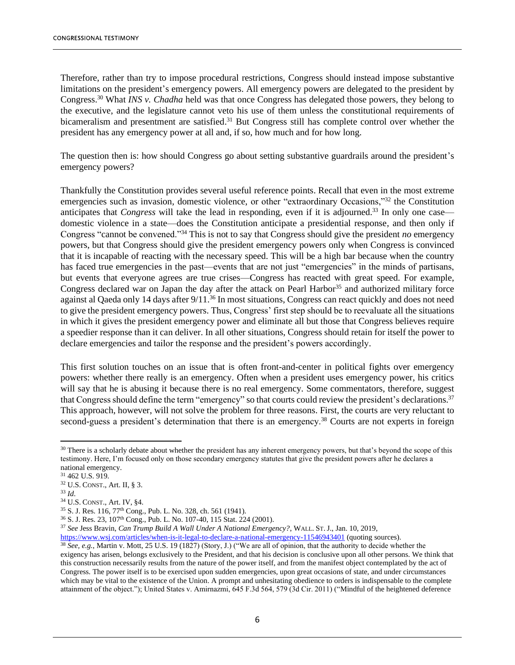Therefore, rather than try to impose procedural restrictions, Congress should instead impose substantive limitations on the president's emergency powers. All emergency powers are delegated to the president by Congress.<sup>30</sup> What *INS v. Chadha* held was that once Congress has delegated those powers, they belong to the executive, and the legislature cannot veto his use of them unless the constitutional requirements of bicameralism and presentment are satisfied.<sup>31</sup> But Congress still has complete control over whether the president has any emergency power at all and, if so, how much and for how long.

The question then is: how should Congress go about setting substantive guardrails around the president's emergency powers?

Thankfully the Constitution provides several useful reference points. Recall that even in the most extreme emergencies such as invasion, domestic violence, or other "extraordinary Occasions,"<sup>32</sup> the Constitution anticipates that *Congress* will take the lead in responding, even if it is adjourned. <sup>33</sup> In only one case domestic violence in a state—does the Constitution anticipate a presidential response, and then only if Congress "cannot be convened."<sup>34</sup> This is not to say that Congress should give the president *no* emergency powers, but that Congress should give the president emergency powers only when Congress is convinced that it is incapable of reacting with the necessary speed. This will be a high bar because when the country has faced true emergencies in the past—events that are not just "emergencies" in the minds of partisans, but events that everyone agrees are true crises—Congress has reacted with great speed. For example, Congress declared war on Japan the day after the attack on Pearl Harbor<sup>35</sup> and authorized military force against al Qaeda only 14 days after 9/11.<sup>36</sup> In most situations, Congress can react quickly and does not need to give the president emergency powers. Thus, Congress' first step should be to reevaluate all the situations in which it gives the president emergency power and eliminate all but those that Congress believes require a speedier response than it can deliver. In all other situations, Congress should retain for itself the power to declare emergencies and tailor the response and the president's powers accordingly.

This first solution touches on an issue that is often front-and-center in political fights over emergency powers: whether there really is an emergency. Often when a president uses emergency power, his critics will say that he is abusing it because there is no real emergency. Some commentators, therefore, suggest that Congress should define the term "emergency" so that courts could review the president's declarations.<sup>37</sup> This approach, however, will not solve the problem for three reasons. First, the courts are very reluctant to second-guess a president's determination that there is an emergency.<sup>38</sup> Courts are not experts in foreign

<sup>&</sup>lt;sup>30</sup> There is a scholarly debate about whether the president has any inherent emergency powers, but that's beyond the scope of this testimony. Here, I'm focused only on those secondary emergency statutes that give the president powers after he declares a national emergency.

<sup>31</sup> 462 U.S. 919.

<sup>32</sup> U.S. CONST., Art. II, § 3.

<sup>33</sup> *Id*.

<sup>34</sup> U.S. CONST., Art. IV, §4.

<sup>35</sup> S. J. Res. 116, 77th Cong., Pub. L. No. 328, ch. 561 (1941).

<sup>&</sup>lt;sup>36</sup> S. J. Res. 23, 107<sup>th</sup> Cong., Pub. L. No. 107-40, 115 Stat. 224 (2001).

<sup>37</sup> *See* Jess Bravin, *Can Trump Build A Wall Under A National Emergency?*, WALL. ST.J., Jan. 10, 2019,

<https://www.wsj.com/articles/when-is-it-legal-to-declare-a-national-emergency-11546943401> (quoting sources). <sup>38</sup> *See, e.g.*, Martin v. Mott, 25 U.S. 19 (1827) (Story, J.) ("We are all of opinion, that the authority to decide whether the exigency has arisen, belongs exclusively to the President, and that his decision is conclusive upon all other persons. We think that this construction necessarily results from the nature of the power itself, and from the manifest object contemplated by the act of Congress. The power itself is to be exercised upon sudden emergencies, upon great occasions of state, and under circumstances which may be vital to the existence of the Union. A prompt and unhesitating obedience to orders is indispensable to the complete attainment of the object."); United States v. Amirnazmi, 645 F.3d 564, 579 (3d Cir. 2011) ("Mindful of the heightened deference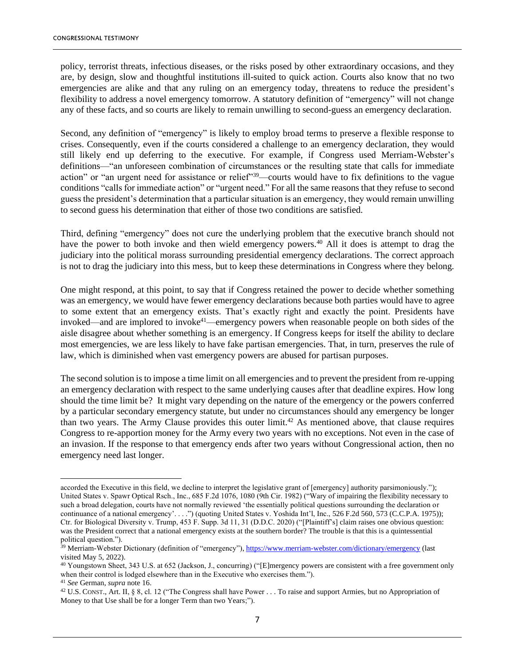policy, terrorist threats, infectious diseases, or the risks posed by other extraordinary occasions, and they are, by design, slow and thoughtful institutions ill-suited to quick action. Courts also know that no two emergencies are alike and that any ruling on an emergency today, threatens to reduce the president's flexibility to address a novel emergency tomorrow. A statutory definition of "emergency" will not change any of these facts, and so courts are likely to remain unwilling to second-guess an emergency declaration.

Second, any definition of "emergency" is likely to employ broad terms to preserve a flexible response to crises. Consequently, even if the courts considered a challenge to an emergency declaration, they would still likely end up deferring to the executive. For example, if Congress used Merriam-Webster's definitions—"an unforeseen combination of circumstances or the resulting state that calls for immediate action" or "an urgent need for assistance or relief"<sup>39</sup>—courts would have to fix definitions to the vague conditions "calls for immediate action" or "urgent need." For all the same reasons that they refuse to second guess the president's determination that a particular situation is an emergency, they would remain unwilling to second guess his determination that either of those two conditions are satisfied.

Third, defining "emergency" does not cure the underlying problem that the executive branch should not have the power to both invoke and then wield emergency powers.<sup>40</sup> All it does is attempt to drag the judiciary into the political morass surrounding presidential emergency declarations. The correct approach is not to drag the judiciary into this mess, but to keep these determinations in Congress where they belong.

One might respond, at this point, to say that if Congress retained the power to decide whether something was an emergency, we would have fewer emergency declarations because both parties would have to agree to some extent that an emergency exists. That's exactly right and exactly the point. Presidents have invoked—and are implored to invoke<sup>41</sup>—emergency powers when reasonable people on both sides of the aisle disagree about whether something is an emergency. If Congress keeps for itself the ability to declare most emergencies, we are less likely to have fake partisan emergencies. That, in turn, preserves the rule of law, which is diminished when vast emergency powers are abused for partisan purposes.

The second solution is to impose a time limit on all emergencies and to prevent the president from re-upping an emergency declaration with respect to the same underlying causes after that deadline expires. How long should the time limit be? It might vary depending on the nature of the emergency or the powers conferred by a particular secondary emergency statute, but under no circumstances should any emergency be longer than two years. The Army Clause provides this outer limit.<sup>42</sup> As mentioned above, that clause requires Congress to re-apportion money for the Army every two years with no exceptions. Not even in the case of an invasion. If the response to that emergency ends after two years without Congressional action, then no emergency need last longer.

accorded the Executive in this field, we decline to interpret the legislative grant of [emergency] authority parsimoniously."); United States v. Spawr Optical Rsch., Inc., 685 F.2d 1076, 1080 (9th Cir. 1982) ("Wary of impairing the flexibility necessary to such a broad delegation, courts have not normally reviewed 'the essentially political questions surrounding the declaration or continuance of a national emergency'....") (quoting United States v. Yoshida Int'l, Inc., 526 F.2d 560, 573 (C.C.P.A. 1975)); Ctr. for Biological Diversity v. Trump, 453 F. Supp. 3d 11, 31 (D.D.C. 2020) ("[Plaintiff's] claim raises one obvious question: was the President correct that a national emergency exists at the southern border? The trouble is that this is a quintessential political question.").

<sup>&</sup>lt;sup>39</sup> Merriam-Webster Dictionary (definition of "emergency")[, https://www.merriam-webster.com/dictionary/emergency](https://www.merriam-webster.com/dictionary/emergency) (last visited May 5, 2022).

<sup>&</sup>lt;sup>40</sup> Youngstown Sheet, 343 U.S. at 652 (Jackson, J., concurring) ("[E]mergency powers are consistent with a free government only when their control is lodged elsewhere than in the Executive who exercises them.").

<sup>41</sup> *See* German, *supra* note 16.

<sup>42</sup> U.S. CONST., Art. II, § 8, cl. 12 ("The Congress shall have Power . . . To raise and support Armies, but no Appropriation of Money to that Use shall be for a longer Term than two Years;").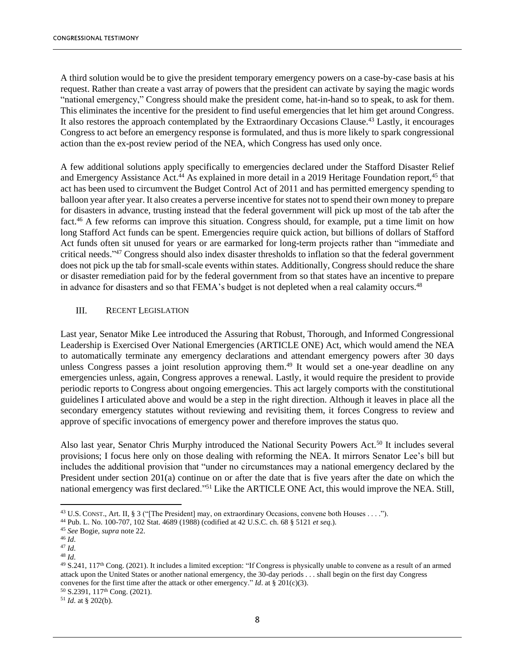A third solution would be to give the president temporary emergency powers on a case-by-case basis at his request. Rather than create a vast array of powers that the president can activate by saying the magic words "national emergency," Congress should make the president come, hat-in-hand so to speak, to ask for them. This eliminates the incentive for the president to find useful emergencies that let him get around Congress. It also restores the approach contemplated by the Extraordinary Occasions Clause.<sup>43</sup> Lastly, it encourages Congress to act before an emergency response is formulated, and thus is more likely to spark congressional action than the ex-post review period of the NEA, which Congress has used only once.

A few additional solutions apply specifically to emergencies declared under the Stafford Disaster Relief and Emergency Assistance Act.<sup>44</sup> As explained in more detail in a 2019 Heritage Foundation report,<sup>45</sup> that act has been used to circumvent the Budget Control Act of 2011 and has permitted emergency spending to balloon year after year. It also creates a perverse incentive for states not to spend their own money to prepare for disasters in advance, trusting instead that the federal government will pick up most of the tab after the fact.<sup>46</sup> A few reforms can improve this situation. Congress should, for example, put a time limit on how long Stafford Act funds can be spent. Emergencies require quick action, but billions of dollars of Stafford Act funds often sit unused for years or are earmarked for long-term projects rather than "immediate and critical needs."<sup>47</sup> Congress should also index disaster thresholds to inflation so that the federal government does not pick up the tab for small-scale events within states. Additionally, Congress should reduce the share or disaster remediation paid for by the federal government from so that states have an incentive to prepare in advance for disasters and so that FEMA's budget is not depleted when a real calamity occurs.<sup>48</sup>

#### III. RECENT LEGISLATION

Last year, Senator Mike Lee introduced the Assuring that Robust, Thorough, and Informed Congressional Leadership is Exercised Over National Emergencies (ARTICLE ONE) Act, which would amend the NEA to automatically terminate any emergency declarations and attendant emergency powers after 30 days unless Congress passes a joint resolution approving them. <sup>49</sup> It would set a one-year deadline on any emergencies unless, again, Congress approves a renewal. Lastly, it would require the president to provide periodic reports to Congress about ongoing emergencies. This act largely comports with the constitutional guidelines I articulated above and would be a step in the right direction. Although it leaves in place all the secondary emergency statutes without reviewing and revisiting them, it forces Congress to review and approve of specific invocations of emergency power and therefore improves the status quo.

Also last year, Senator Chris Murphy introduced the National Security Powers Act.<sup>50</sup> It includes several provisions; I focus here only on those dealing with reforming the NEA. It mirrors Senator Lee's bill but includes the additional provision that "under no circumstances may a national emergency declared by the President under section 201(a) continue on or after the date that is five years after the date on which the national emergency was first declared."<sup>51</sup> Like the ARTICLE ONE Act, this would improve the NEA. Still,

<sup>50</sup> S.2391, 117th Cong. (2021).

<sup>43</sup> U.S. CONST., Art. II, § 3 ("[The President] may, on extraordinary Occasions, convene both Houses . . . .").

<sup>44</sup> Pub. L. No. 100-707, 102 Stat. 4689 (1988) (codified at 42 U.S.C. ch. 68 § 5121 *et seq*.).

<sup>45</sup> *See* Bogie, *supra* note 22.

<sup>46</sup> *Id*.

<sup>47</sup> *Id*.

<sup>48</sup> *Id*.

 $49$  S.241,  $117<sup>th</sup>$  Cong. (2021). It includes a limited exception: "If Congress is physically unable to convene as a result of an armed attack upon the United States or another national emergency, the 30-day periods . . . shall begin on the first day Congress convenes for the first time after the attack or other emergency." *Id*. at § 201(c)(3).

<sup>51</sup> *Id*. at § 202(b).